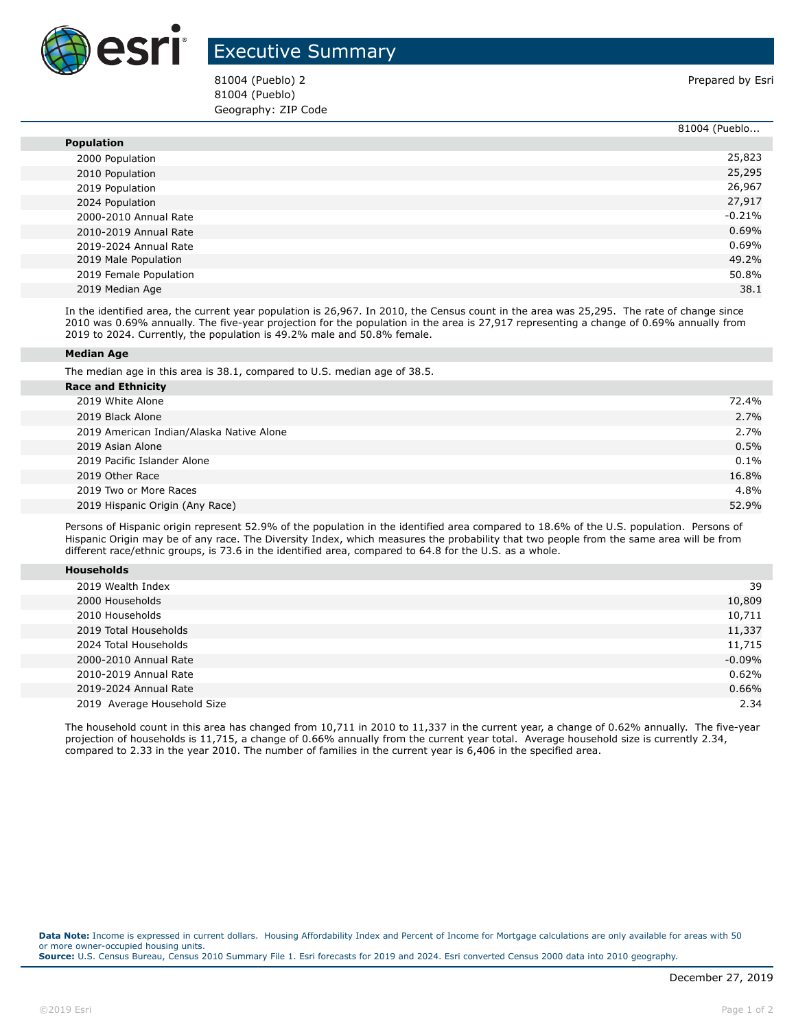

## Executive Summary

81004 (Pueblo) 2 **Prepared by Esri** Prepared by Esri 81004 (Pueblo) Geography: ZIP Code

|                        | 81004 (Pueblo |
|------------------------|---------------|
| <b>Population</b>      |               |
| 2000 Population        | 25,823        |
| 2010 Population        | 25,295        |
| 2019 Population        | 26,967        |
| 2024 Population        | 27,917        |
| 2000-2010 Annual Rate  | $-0.21%$      |
| 2010-2019 Annual Rate  | 0.69%         |
| 2019-2024 Annual Rate  | $0.69\%$      |
| 2019 Male Population   | 49.2%         |
| 2019 Female Population | 50.8%         |
| 2019 Median Age        | 38.1          |

In the identified area, the current year population is 26,967. In 2010, the Census count in the area was 25,295. The rate of change since 2010 was 0.69% annually. The five-year projection for the population in the area is 27,917 representing a change of 0.69% annually from 2019 to 2024. Currently, the population is 49.2% male and 50.8% female.

## **Median Age**

The median age in this area is 38.1, compared to U.S. median age of 38.5.

| <b>Race and Ethnicity</b>                |         |
|------------------------------------------|---------|
| 2019 White Alone                         | 72.4%   |
| 2019 Black Alone                         | 2.7%    |
| 2019 American Indian/Alaska Native Alone | 2.7%    |
| 2019 Asian Alone                         | 0.5%    |
| 2019 Pacific Islander Alone              | $0.1\%$ |
| 2019 Other Race                          | 16.8%   |
| 2019 Two or More Races                   | 4.8%    |
| 2019 Hispanic Origin (Any Race)          | 52.9%   |
|                                          |         |

Persons of Hispanic origin represent 52.9% of the population in the identified area compared to 18.6% of the U.S. population. Persons of Hispanic Origin may be of any race. The Diversity Index, which measures the probability that two people from the same area will be from different race/ethnic groups, is 73.6 in the identified area, compared to 64.8 for the U.S. as a whole.

| <b>Households</b> |  |  |  |
|-------------------|--|--|--|
|-------------------|--|--|--|

| 2019 Wealth Index           | 39       |
|-----------------------------|----------|
| 2000 Households             | 10,809   |
| 2010 Households             | 10,711   |
| 2019 Total Households       | 11,337   |
| 2024 Total Households       | 11,715   |
| 2000-2010 Annual Rate       | $-0.09%$ |
| 2010-2019 Annual Rate       | 0.62%    |
| 2019-2024 Annual Rate       | 0.66%    |
| 2019 Average Household Size | 2.34     |

The household count in this area has changed from 10,711 in 2010 to 11,337 in the current year, a change of 0.62% annually. The five-year projection of households is 11,715, a change of 0.66% annually from the current year total. Average household size is currently 2.34, compared to 2.33 in the year 2010. The number of families in the current year is 6,406 in the specified area.

**Data Note:** Income is expressed in current dollars. Housing Affordability Index and Percent of Income for Mortgage calculations are only available for areas with 50 or more owner-occupied housing units. **Source:** U.S. Census Bureau, Census 2010 Summary File 1. Esri forecasts for 2019 and 2024. Esri converted Census 2000 data into 2010 geography.